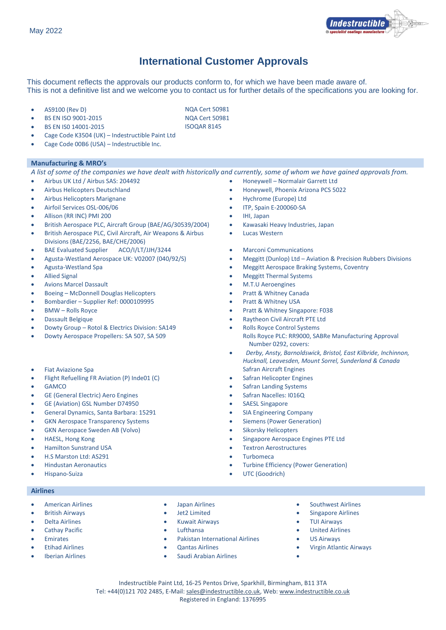

## **International Customer Approvals**

This document reflects the approvals our products conform to, for which we have been made aware of. This is not a definitive list and we welcome you to contact us for further details of the specifications you are looking for.

- AS9100 (Rev D) NQA Cert 50981
- BS EN ISO 9001-2015 NQA Cert 50981
- **BS EN ISO 14001-2015**
- Cage Code K3504 (UK) Indestructible Paint Ltd
- Cage Code 00B6 (USA) Indestructible Inc.

## **Manufacturing & MRO's**

*A list of some of the companies we have dealt with historically and currently, some of whom we have gained approvals from.* 

- 
- 
- Airbus Helicopters Marignane Hychrome (Europe) Ltd
- Airfoil Services OSL-006/06 ITP, Spain E-200060-SA
- Allison (RR INC) PMI 200 IHI, Japan
- British Aerospace PLC, Aircraft Group (BAE/AG/30539/2004) Kawasaki Heavy Industries, Japan
- British Aerospace PLC, Civil Aircraft, Air Weapons & Airbus Divisions (BAE/2256, BAE/CHE/2006)
- BAE Evaluated Supplier ACO/I/LT/JJH/3244 Marconi Communications
- 
- 
- 
- Avions Marcel Dassault M.T.U Aeroengines
- Boeing McDonnell Douglas Helicopters Pratt & Whitney Canada
- Bombardier Supplier Ref: 0000109995 Pratt & Whitney USA
- 
- 
- Dowty Group Rotol & Electrics Division: SA149 Rolls Royce Control Systems
- 
- 
- Flight Refuelling FR Aviation (P) Inde01 (C) The Safran Helicopter Engines
- 
- GE (General Electric) Aero Engines Safran Nacelles: I016Q
- GE (Aviation) GSL Number D74950 SAESL Singapore
- General Dynamics, Santa Barbara: 15291 SIA Engineering Company
- GKN Aerospace Transparency Systems Siemens (Power Generation)
- GKN Aerospace Sweden AB (Volvo) Sikorsky Helicopters
- 
- 
- H.S Marston Ltd: AS291 Turbomeca
- 
- 

## **Airlines**

- 
- 
- 
- 
- 
- 
- 
- 
- 
- 
- 
- Emirates Pakistan International Airlines US Airways
	-
- Iberian Airlines Saudi Arabian Airlines •
- 
- British Airways Jet2 Limited Singapore Airlines
- Delta Airlines Kuwait Airways TUI Airways
	-
	-
- Etihad Airlines Qantas Airlines Virgin Atlantic Airways
	-
	- Indestructible Paint Ltd, 16-25 Pentos Drive, Sparkhill, Birmingham, B11 3TA Tel: +44(0)121 702 2485, E-Mail: [sales@indestructible.co.uk,](mailto:sales@indestructible.co.uk) Web[: www.indestructible.co.uk](http://www.indestructible.co.uk/)
- Airbus UK Ltd / Airbus SAS: 204492 Honeywell Normalair Garrett Ltd
	- Airbus Helicopters Deutschland Honeywell, Phoenix Arizona PCS 5022
		-
		-
		-
		-
		- Lucas Western
		-
	- Agusta-Westland Aerospace UK: V02007 (040/92/S) Meggitt (Dunlop) Ltd Aviation & Precision Rubbers Divisions
- Agusta-Westland Spa Meggitt Aerospace Braking Systems, Coventry
- Allied Signal Meggitt Thermal Systems
	-
	-
	-
	- BMW Rolls Royce Pratt & Whitney Singapore: F038
	- Dassault Belgique Raytheon Civil Aircraft PTE Ltd
	- Dowty Aerospace Propellers: SA 507, SA 509 Rolls Royce PLC: RR9000, SABRe Manufacturing Approval Number 0292, covers:
- • *Derby, Ansty, Barnoldswick, Bristol, East Kilbride, Inchinnon, Hucknall, Leavesden, Mount Sorrel, Sunderland & Canada* • Fiat Aviazione Spa Safran Aircraft Engines
	-
- GAMCO Safran Landing Systems
	-
	-
	-
	-
	-
	- HAESL, Hong Kong Singapore Aerospace Engines PTE Ltd
	- Hamilton Sunstrand USA Textron Aerostructures
		-
	- Hindustan Aeronautics Turbine Efficiency (Power Generation)
	- Hispano-Suiza UTC (Goodrich)
- 
- American Airlines Japan Airlines Japan Airlines Southwest Airlines<br>• British Airways Jet2 Limited Singapore Airlines
	-
	- Cathay Pacific Lufthansa United Airlines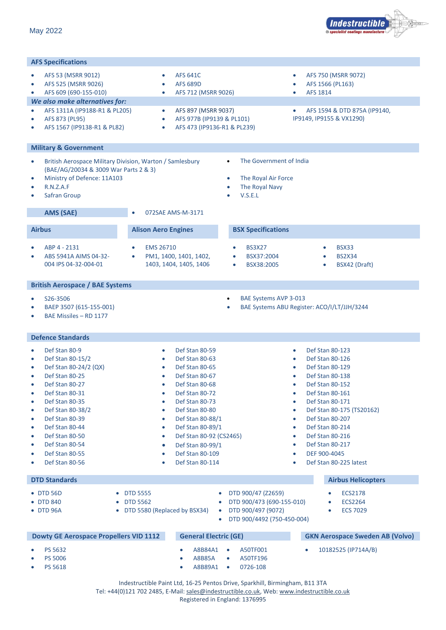

| <b>AFS Specifications</b>                                                                                                                                                                                                                                                                                                                                                                                                           |                                                                                                                                                                                                                                                                                                                                                                                                                                       |                                                                                                                                                         |                                                                                                                                                                                                                                                                                                                                                                                                                                                               |  |  |  |  |  |  |  |
|-------------------------------------------------------------------------------------------------------------------------------------------------------------------------------------------------------------------------------------------------------------------------------------------------------------------------------------------------------------------------------------------------------------------------------------|---------------------------------------------------------------------------------------------------------------------------------------------------------------------------------------------------------------------------------------------------------------------------------------------------------------------------------------------------------------------------------------------------------------------------------------|---------------------------------------------------------------------------------------------------------------------------------------------------------|---------------------------------------------------------------------------------------------------------------------------------------------------------------------------------------------------------------------------------------------------------------------------------------------------------------------------------------------------------------------------------------------------------------------------------------------------------------|--|--|--|--|--|--|--|
| AFS 53 (MSRR 9012)<br>$\bullet$                                                                                                                                                                                                                                                                                                                                                                                                     | <b>AFS 641C</b><br>$\bullet$                                                                                                                                                                                                                                                                                                                                                                                                          |                                                                                                                                                         | AFS 750 (MSRR 9072)<br>$\bullet$                                                                                                                                                                                                                                                                                                                                                                                                                              |  |  |  |  |  |  |  |
| AFS 525 (MSRR 9026)<br>$\bullet$<br>AFS 609 (690-155-010)                                                                                                                                                                                                                                                                                                                                                                           | <b>AFS 689D</b><br>$\bullet$<br>$\bullet$                                                                                                                                                                                                                                                                                                                                                                                             |                                                                                                                                                         | AFS 1566 (PL163)<br>$\bullet$<br>AFS 1814<br>$\bullet$                                                                                                                                                                                                                                                                                                                                                                                                        |  |  |  |  |  |  |  |
| $\bullet$<br>We also make alternatives for:                                                                                                                                                                                                                                                                                                                                                                                         | AFS 712 (MSRR 9026)                                                                                                                                                                                                                                                                                                                                                                                                                   |                                                                                                                                                         |                                                                                                                                                                                                                                                                                                                                                                                                                                                               |  |  |  |  |  |  |  |
| AFS 1311A (IP9188-R1 & PL205)<br>$\bullet$<br>AFS 873 (PL95)<br>$\bullet$<br>AFS 1567 (IP9138-R1 & PL82)                                                                                                                                                                                                                                                                                                                            | AFS 897 (MSRR 9037)<br>$\bullet$<br>AFS 977B (IP9139 & PL101)<br>$\bullet$<br>AFS 473 (IP9136-R1 & PL239)<br>$\bullet$                                                                                                                                                                                                                                                                                                                | AFS 1594 & DTD 875A (IP9140,<br>$\bullet$<br>IP9149, IP9155 & VX1290)                                                                                   |                                                                                                                                                                                                                                                                                                                                                                                                                                                               |  |  |  |  |  |  |  |
| <b>Military &amp; Government</b>                                                                                                                                                                                                                                                                                                                                                                                                    |                                                                                                                                                                                                                                                                                                                                                                                                                                       |                                                                                                                                                         |                                                                                                                                                                                                                                                                                                                                                                                                                                                               |  |  |  |  |  |  |  |
| $\bullet$<br>(BAE/AG/20034 & 3009 War Parts 2 & 3)<br>Ministry of Defence: 11A103<br>$\bullet$<br>R.N.Z.A.F<br>$\bullet$<br><b>Safran Group</b>                                                                                                                                                                                                                                                                                     | British Aerospace Military Division, Warton / Samlesbury                                                                                                                                                                                                                                                                                                                                                                              | The Government of India<br>$\bullet$<br>The Royal Air Force<br>$\bullet$<br>The Royal Navy<br>$\bullet$<br>V.S.E.L                                      |                                                                                                                                                                                                                                                                                                                                                                                                                                                               |  |  |  |  |  |  |  |
| AMS (SAE)                                                                                                                                                                                                                                                                                                                                                                                                                           | 072SAE AMS-M-3171                                                                                                                                                                                                                                                                                                                                                                                                                     |                                                                                                                                                         |                                                                                                                                                                                                                                                                                                                                                                                                                                                               |  |  |  |  |  |  |  |
| <b>Airbus</b>                                                                                                                                                                                                                                                                                                                                                                                                                       | <b>Alison Aero Engines</b>                                                                                                                                                                                                                                                                                                                                                                                                            | <b>BSX Specifications</b>                                                                                                                               |                                                                                                                                                                                                                                                                                                                                                                                                                                                               |  |  |  |  |  |  |  |
| ABP 4 - 2131<br>ABS 5941A AIMS 04-32-<br>004 IPS 04-32-004-01                                                                                                                                                                                                                                                                                                                                                                       | <b>EMS 26710</b><br>PM1, 1400, 1401, 1402,<br>$\bullet$<br>1403, 1404, 1405, 1406                                                                                                                                                                                                                                                                                                                                                     | <b>BS3X27</b><br>$\bullet$<br>BSX37:2004<br>$\bullet$<br>BSX38:2005<br>٠                                                                                | <b>BSX33</b><br>$\bullet$<br><b>BS2X34</b><br>$\bullet$<br>BSX42 (Draft)<br>$\bullet$                                                                                                                                                                                                                                                                                                                                                                         |  |  |  |  |  |  |  |
| <b>British Aerospace / BAE Systems</b>                                                                                                                                                                                                                                                                                                                                                                                              |                                                                                                                                                                                                                                                                                                                                                                                                                                       |                                                                                                                                                         |                                                                                                                                                                                                                                                                                                                                                                                                                                                               |  |  |  |  |  |  |  |
| S26-3506<br>BAEP 3507 (615-155-001)<br>BAE Missiles - RD 1177                                                                                                                                                                                                                                                                                                                                                                       |                                                                                                                                                                                                                                                                                                                                                                                                                                       | BAE Systems AVP 3-013<br>$\bullet$                                                                                                                      | BAE Systems ABU Register: ACO/I/LT/JJH/3244                                                                                                                                                                                                                                                                                                                                                                                                                   |  |  |  |  |  |  |  |
| <b>Defence Standards</b>                                                                                                                                                                                                                                                                                                                                                                                                            |                                                                                                                                                                                                                                                                                                                                                                                                                                       |                                                                                                                                                         |                                                                                                                                                                                                                                                                                                                                                                                                                                                               |  |  |  |  |  |  |  |
| Def Stan 80-9<br>$\bullet$<br>Def Stan 80-15/2<br>$\bullet$<br>Def Stan 80-24/2 (QX)<br>$\bullet$<br>Def Stan 80-25<br>$\bullet$<br>Def Stan 80-27<br>$\bullet$<br>$\bullet$<br>Def Stan 80-31<br>Def Stan 80-35<br>Def Stan 80-38/2<br>0<br>Def Stan 80-39<br>$\bullet$<br>Def Stan 80-44<br>$\bullet$<br>Def Stan 80-50<br>$\bullet$<br>Def Stan 80-54<br>$\bullet$<br>Def Stan 80-55<br>$\bullet$<br>Def Stan 80-56<br>$\bullet$ | Def Stan 80-59<br>$\bullet$<br>Def Stan 80-63<br>$\bullet$<br>Def Stan 80-65<br>$\bullet$<br>Def Stan 80-67<br>Def Stan 80-68<br>$\bullet$<br>Def Stan 80-72<br>$\bullet$<br>Def Stan 80-73<br>Def Stan 80-80<br>$\bullet$<br>Def Stan 80-88/1<br>$\bullet$<br>Def Stan 80-89/1<br>$\bullet$<br>Def Stan 80-92 (CS2465)<br>$\bullet$<br>Def Stan 80-99/1<br>$\bullet$<br>Def Stan 80-109<br>$\bullet$<br>Def Stan 80-114<br>$\bullet$ |                                                                                                                                                         | Def Stan 80-123<br>$\bullet$<br>Def Stan 80-126<br>$\bullet$<br>Def Stan 80-129<br>$\bullet$<br>Def Stan 80-138<br>Def Stan 80-152<br>$\bullet$<br>$\bullet$<br>Def Stan 80-161<br>Def Stan 80-171<br>$\bullet$<br>Def Stan 80-175 (TS20162)<br>$\bullet$<br>Def Stan 80-207<br>$\bullet$<br>Def Stan 80-214<br>$\bullet$<br>Def Stan 80-216<br>$\bullet$<br>Def Stan 80-217<br>$\bullet$<br>DEF 900-4045<br>$\bullet$<br>Def Stan 80-225 latest<br>$\bullet$ |  |  |  |  |  |  |  |
| <b>DTD Standards</b>                                                                                                                                                                                                                                                                                                                                                                                                                |                                                                                                                                                                                                                                                                                                                                                                                                                                       |                                                                                                                                                         | <b>Airbus Helicopters</b>                                                                                                                                                                                                                                                                                                                                                                                                                                     |  |  |  |  |  |  |  |
| • DTD 56D<br>$\bullet$<br>• DTD 840<br>• DTD 96A                                                                                                                                                                                                                                                                                                                                                                                    | <b>DTD 5555</b><br>• DTD 5562<br>• DTD 5580 (Replaced by BSX34)                                                                                                                                                                                                                                                                                                                                                                       | DTD 900/47 (Z2659)<br>$\bullet$<br>DTD 900/473 (690-155-010)<br>$\bullet$<br>DTD 900/497 (9072)<br>$\bullet$<br>DTD 900/4492 (750-450-004)<br>$\bullet$ | <b>ECS2178</b><br>$\bullet$<br><b>ECS2264</b><br>$\bullet$<br><b>ECS 7029</b><br>$\bullet$                                                                                                                                                                                                                                                                                                                                                                    |  |  |  |  |  |  |  |
| <b>Dowty GE Aerospace Propellers VID 1112</b>                                                                                                                                                                                                                                                                                                                                                                                       | <b>General Electric (GE)</b>                                                                                                                                                                                                                                                                                                                                                                                                          |                                                                                                                                                         | <b>GKN Aerospace Sweden AB (Volvo)</b>                                                                                                                                                                                                                                                                                                                                                                                                                        |  |  |  |  |  |  |  |
| PS 5632<br><b>PS 5006</b><br>PS 5618                                                                                                                                                                                                                                                                                                                                                                                                | A8B84A1<br><b>A8B85A</b><br>A8B89A1<br>Indestructible Paint Ltd, 16-25 Pentos Drive, Sparkhill, Birmingham, B11 3TA                                                                                                                                                                                                                                                                                                                   | A50TF001<br>$\bullet$<br>A50TF196<br>$\bullet$<br>0726-108<br>$\bullet$                                                                                 | 10182525 (IP714A/B)                                                                                                                                                                                                                                                                                                                                                                                                                                           |  |  |  |  |  |  |  |
| Tel: +44(0)121 702 2485, E-Mail: sales@indestructible.co.uk, Web: www.indestructible.co.uk                                                                                                                                                                                                                                                                                                                                          |                                                                                                                                                                                                                                                                                                                                                                                                                                       |                                                                                                                                                         |                                                                                                                                                                                                                                                                                                                                                                                                                                                               |  |  |  |  |  |  |  |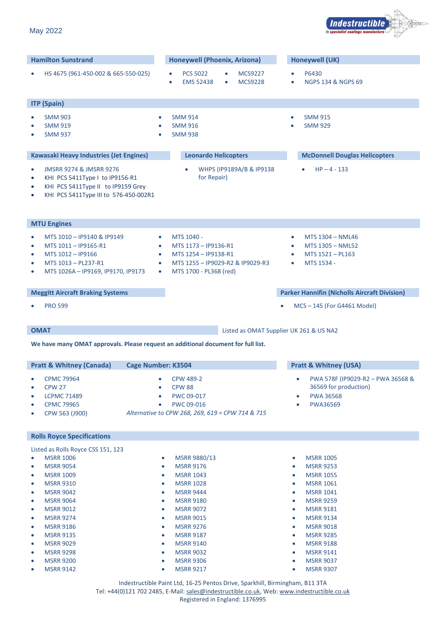|                                                                                                                                                                                                                                                                                                                                                              | <b>EMS 52438</b>                                                                                                                                                                                 | <b>MCS9228</b><br><b>NGPS 134 &amp; NGPS 69</b>                                                                                                                                                                                                                        |
|--------------------------------------------------------------------------------------------------------------------------------------------------------------------------------------------------------------------------------------------------------------------------------------------------------------------------------------------------------------|--------------------------------------------------------------------------------------------------------------------------------------------------------------------------------------------------|------------------------------------------------------------------------------------------------------------------------------------------------------------------------------------------------------------------------------------------------------------------------|
| <b>ITP (Spain)</b>                                                                                                                                                                                                                                                                                                                                           |                                                                                                                                                                                                  |                                                                                                                                                                                                                                                                        |
| <b>SMM 903</b><br>$\bullet$<br><b>SMM 919</b><br>$\bullet$<br><b>SMM 937</b><br>$\bullet$                                                                                                                                                                                                                                                                    | <b>SMM 914</b><br>$\bullet$<br><b>SMM 916</b><br>$\bullet$<br><b>SMM 938</b><br>$\bullet$                                                                                                        | <b>SMM 915</b><br><b>SMM 929</b>                                                                                                                                                                                                                                       |
| <b>Kawasaki Heavy Industries (Jet Engines)</b>                                                                                                                                                                                                                                                                                                               | <b>Leonardo Helicopters</b>                                                                                                                                                                      | <b>McDonnell Douglas Helicopters</b>                                                                                                                                                                                                                                   |
| <b>JMSRR 9274 &amp; JMSRR 9276</b><br>$\bullet$<br>KHI PCS 5411Type I to IP9156-R1<br>$\bullet$<br>KHI PCS 5411Type II to IP9159 Grey<br>$\bullet$<br>KHI PCS 5411Type III to 576-450-002R1<br>$\bullet$                                                                                                                                                     | WHPS (IP9189A/B & IP9138<br>for Repair)                                                                                                                                                          | $HP - 4 - 133$                                                                                                                                                                                                                                                         |
| <b>MTU Engines</b>                                                                                                                                                                                                                                                                                                                                           |                                                                                                                                                                                                  |                                                                                                                                                                                                                                                                        |
| MTS 1010 - IP9140 & IP9149<br>$\bullet$<br>MTS 1011 - IP9165-R1<br>$\bullet$<br>MTS 1012 - IP9166<br>$\bullet$<br>MTS 1013 - PL237-R1<br>$\bullet$<br>MTS 1026A - IP9169, IP9170, IP9173<br>$\bullet$                                                                                                                                                        | MTS 1040 -<br>$\bullet$<br>MTS 1173 - IP9136-R1<br>$\bullet$<br>MTS 1254 - IP9138-R1<br>$\bullet$<br>MTS 1255 - IP9029-R2 & IP9029-R3<br>$\bullet$<br>MTS 1700 - PL368 (red)<br>$\bullet$        | MTS 1304 - NML46<br>$\bullet$<br>MTS 1305 - NML52<br>$\bullet$<br>MTS 1521 - PL163<br>$\bullet$<br>MTS 1534 -<br>$\bullet$                                                                                                                                             |
| <b>Meggitt Aircraft Braking Systems</b>                                                                                                                                                                                                                                                                                                                      |                                                                                                                                                                                                  | <b>Parker Hannifin (Nicholls Aircraft Division)</b>                                                                                                                                                                                                                    |
| <b>PRO 599</b><br>$\bullet$                                                                                                                                                                                                                                                                                                                                  |                                                                                                                                                                                                  | MCS-145 (For G4461 Model)                                                                                                                                                                                                                                              |
| <b>OMAT</b>                                                                                                                                                                                                                                                                                                                                                  | We have many OMAT approvals. Please request an additional document for full list.                                                                                                                | Listed as OMAT Supplier UK 261 & US NA2                                                                                                                                                                                                                                |
| <b>Pratt &amp; Whitney (Canada)</b>                                                                                                                                                                                                                                                                                                                          | <b>Cage Number: K3504</b>                                                                                                                                                                        | <b>Pratt &amp; Whitney (USA)</b>                                                                                                                                                                                                                                       |
| <b>CPMC 79964</b><br>$\bullet$<br><b>CPW 27</b><br>$\bullet$<br><b>LCPMC 71489</b><br>$\bullet$<br><b>CPMC 79965</b><br>$\bullet$<br>CPW 563 (J900)                                                                                                                                                                                                          | <b>CPW 489-2</b><br><b>CPW 88</b><br>$\bullet$<br>PWC 09-017<br>PWC 09-016<br>Alternative to CPW 268, 269, 619 = CPW 714 & 715                                                                   | PWA 578F (IP9029-R2 - PWA 36568 &<br>36569 for production)<br><b>PWA 36568</b><br><b>PWA36569</b><br>$\bullet$                                                                                                                                                         |
| <b>Rolls Royce Specifications</b>                                                                                                                                                                                                                                                                                                                            |                                                                                                                                                                                                  |                                                                                                                                                                                                                                                                        |
| Listed as Rolls Royce CSS 151, 123<br><b>MSRR 1006</b><br>$\bullet$<br><b>MSRR 9054</b><br>$\bullet$<br><b>MSRR 1009</b><br>$\bullet$<br><b>MSRR 9310</b><br>$\bullet$<br><b>MSRR 9042</b><br>$\bullet$<br><b>MSRR 9064</b><br>$\bullet$<br><b>MSRR 9012</b><br>$\bullet$<br><b>MSRR 9274</b><br>0<br><b>MSRR 9186</b><br>0<br><b>MSRR 9135</b><br>$\bullet$ | MSRR 9880/13<br><b>MSRR 9176</b><br><b>MSRR 1043</b><br><b>MSRR 1028</b><br><b>MSRR 9444</b><br><b>MSRR 9180</b><br><b>MSRR 9072</b><br><b>MSRR 9015</b><br><b>MSRR 9276</b><br><b>MSRR 9187</b> | <b>MSRR 1005</b><br>۰<br><b>MSRR 9253</b><br>۰<br><b>MSRR 1055</b><br>$\bullet$<br><b>MSRR 1061</b><br>$\bullet$<br><b>MSRR 1041</b><br>۰<br><b>MSRR 9259</b><br>۰<br><b>MSRR 9181</b><br>۰<br><b>MSRR 9134</b><br>۰<br><b>MSRR 9018</b><br>۰<br><b>MSRR 9285</b><br>۰ |
| <b>MSRR 9029</b>                                                                                                                                                                                                                                                                                                                                             | <b>MSRR 9140</b>                                                                                                                                                                                 | <b>MSRR 9188</b><br>۰                                                                                                                                                                                                                                                  |

**Hamilton Sunstrand Honeywell (Phoenix, Arizona) Honeywell (UK)**

• HS 4675 (961-450-002 & 665-550-025) • PCS 5022 • MCS9227 • P6430

I

l.

I

I

I



Indestructible Paint Ltd, 16-25 Pentos Drive, Sparkhill, Birmingham, B11 3TA Tel: +44(0)121 702 2485, E-Mail: [sales@indestructible.co.uk,](mailto:sales@indestructible.co.uk) Web[: www.indestructible.co.uk](http://www.indestructible.co.uk/) Registered in England: 1376995

• MSRR 9298 • MSRR 9032 • MSRR 9141 • MSRR 9200 • MSRR 9306 • MSRR 9037 • MSRR 9142 • MSRR 9217 • MSRR 9307